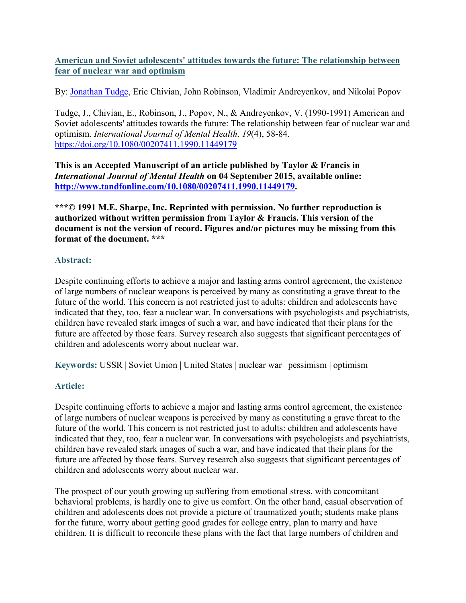# **American and Soviet adolescents' attitudes towards the future: The relationship between fear of nuclear war and optimism**

By: [Jonathan Tudge,](https://libres.uncg.edu/ir/uncg/clist.aspx?id=1300) Eric Chivian, John Robinson, Vladimir Andreyenkov, and Nikolai Popov

Tudge, J., Chivian, E., Robinson, J., Popov, N., & Andreyenkov, V. (1990-1991) American and Soviet adolescents' attitudes towards the future: The relationship between fear of nuclear war and optimism. *International Journal of Mental Health*. *19*(4), 58-84. <https://doi.org/10.1080/00207411.1990.11449179>

**This is an Accepted Manuscript of an article published by Taylor & Francis in**  *International Journal of Mental Health* **on 04 September 2015, available online: [http://www.tandfonline.com/10.1080/00207411.1990.11449179.](http://www.tandfonline.com/10.1080/00207411.1990.11449179)**

**\*\*\*© 1991 M.E. Sharpe, Inc. Reprinted with permission. No further reproduction is authorized without written permission from Taylor & Francis. This version of the document is not the version of record. Figures and/or pictures may be missing from this format of the document. \*\*\***

# **Abstract:**

Despite continuing efforts to achieve a major and lasting arms control agreement, the existence of large numbers of nuclear weapons is perceived by many as constituting a grave threat to the future of the world. This concern is not restricted just to adults: children and adolescents have indicated that they, too, fear a nuclear war. In conversations with psychologists and psychiatrists, children have revealed stark images of such a war, and have indicated that their plans for the future are affected by those fears. Survey research also suggests that significant percentages of children and adolescents worry about nuclear war.

**Keywords:** USSR | Soviet Union | United States | nuclear war | pessimism | optimism

# **Article:**

Despite continuing efforts to achieve a major and lasting arms control agreement, the existence of large numbers of nuclear weapons is perceived by many as constituting a grave threat to the future of the world. This concern is not restricted just to adults: children and adolescents have indicated that they, too, fear a nuclear war. In conversations with psychologists and psychiatrists, children have revealed stark images of such a war, and have indicated that their plans for the future are affected by those fears. Survey research also suggests that significant percentages of children and adolescents worry about nuclear war.

The prospect of our youth growing up suffering from emotional stress, with concomitant behavioral problems, is hardly one to give us comfort. On the other hand, casual observation of children and adolescents does not provide a picture of traumatized youth; students make plans for the future, worry about getting good grades for college entry, plan to marry and have children. It is difficult to reconcile these plans with the fact that large numbers of children and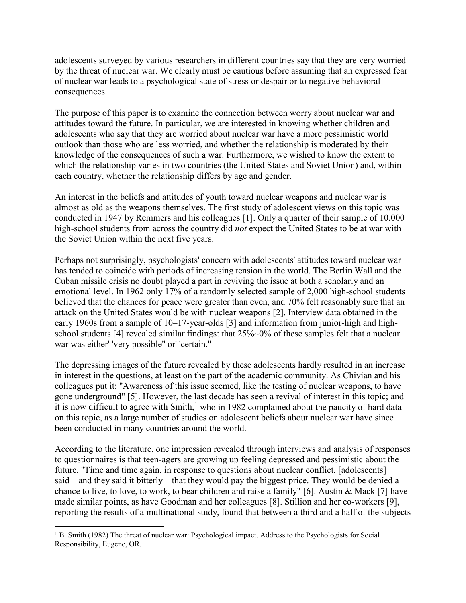adolescents surveyed by various researchers in different countries say that they are very worried by the threat of nuclear war. We clearly must be cautious before assuming that an expressed fear of nuclear war leads to a psychological state of stress or despair or to negative behavioral consequences.

The purpose of this paper is to examine the connection between worry about nuclear war and attitudes toward the future. In particular, we are interested in knowing whether children and adolescents who say that they are worried about nuclear war have a more pessimistic world outlook than those who are less worried, and whether the relationship is moderated by their knowledge of the consequences of such a war. Furthermore, we wished to know the extent to which the relationship varies in two countries (the United States and Soviet Union) and, within each country, whether the relationship differs by age and gender.

An interest in the beliefs and attitudes of youth toward nuclear weapons and nuclear war is almost as old as the weapons themselves. The first study of adolescent views on this topic was conducted in 1947 by Remmers and his colleagues [1]. Only a quarter of their sample of 10,000 high-school students from across the country did *not* expect the United States to be at war with the Soviet Union within the next five years.

Perhaps not surprisingly, psychologists' concern with adolescents' attitudes toward nuclear war has tended to coincide with periods of increasing tension in the world. The Berlin Wall and the Cuban missile crisis no doubt played a part in reviving the issue at both a scholarly and an emotional level. In 1962 only 17% of a randomly selected sample of 2,000 high-school students believed that the chances for peace were greater than even, and 70% felt reasonably sure that an attack on the United States would be with nuclear weapons [2]. Interview data obtained in the early 1960s from a sample of 10–17-year-olds [3] and information from junior-high and highschool students [4] revealed similar findings: that 25%~0% of these samples felt that a nuclear war was either' 'very possible'' or' 'certain.''

The depressing images of the future revealed by these adolescents hardly resulted in an increase in interest in the questions, at least on the part of the academic community. As Chivian and his colleagues put it: ''Awareness of this issue seemed, like the testing of nuclear weapons, to have gone underground" [5]. However, the last decade has seen a revival of interest in this topic; and it is now difficult to agree with  $Smith<sub>1</sub><sup>1</sup>$  $Smith<sub>1</sub><sup>1</sup>$  $Smith<sub>1</sub><sup>1</sup>$  who in 1982 complained about the paucity of hard data on this topic, as a large number of studies on adolescent beliefs about nuclear war have since been conducted in many countries around the world.

According to the literature, one impression revealed through interviews and analysis of responses to questionnaires is that teen-agers are growing up feeling depressed and pessimistic about the future. ''Time and time again, in response to questions about nuclear conflict, [adolescents] said—and they said it bitterly—that they would pay the biggest price. They would be denied a chance to live, to love, to work, to bear children and raise a family" [6]. Austin & Mack [7] have made similar points, as have Goodman and her colleagues [8]. Stillion and her co-workers [9], reporting the results of a multinational study, found that between a third and a half of the subjects

l

<span id="page-1-0"></span><sup>&</sup>lt;sup>1</sup> B. Smith (1982) The threat of nuclear war: Psychological impact. Address to the Psychologists for Social Responsibility, Eugene, OR.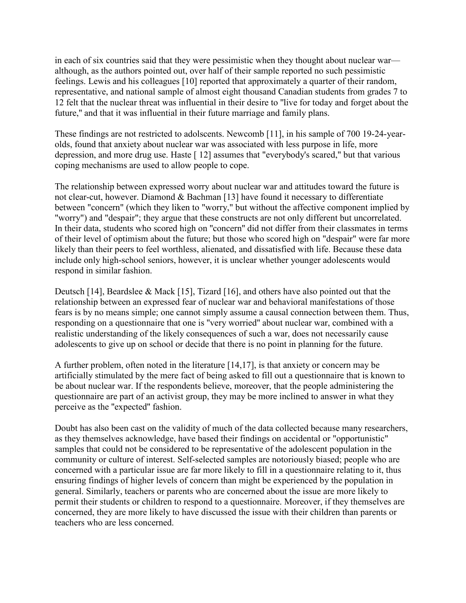in each of six countries said that they were pessimistic when they thought about nuclear war although, as the authors pointed out, over half of their sample reported no such pessimistic feelings. Lewis and his colleagues [10] reported that approximately a quarter of their random, representative, and national sample of almost eight thousand Canadian students from grades 7 to 12 felt that the nuclear threat was influential in their desire to ''live for today and forget about the future,'' and that it was influential in their future marriage and family plans.

These findings are not restricted to adolscents. Newcomb [11], in his sample of 700 19-24-yearolds, found that anxiety about nuclear war was associated with less purpose in life, more depression, and more drug use. Haste [ 12] assumes that "everybody's scared," but that various coping mechanisms are used to allow people to cope.

The relationship between expressed worry about nuclear war and attitudes toward the future is not clear-cut, however. Diamond & Bachman [13] have found it necessary to differentiate between "concern" (which they liken to "worry," but without the affective component implied by "worry") and "despair"; they argue that these constructs are not only different but uncorrelated. In their data, students who scored high on ''concern'' did not differ from their classmates in terms of their level of optimism about the future; but those who scored high on "despair" were far more likely than their peers to feel worthless, alienated, and dissatisfied with life. Because these data include only high-school seniors, however, it is unclear whether younger adolescents would respond in similar fashion.

Deutsch [14], Beardslee & Mack [15], Tizard [16], and others have also pointed out that the relationship between an expressed fear of nuclear war and behavioral manifestations of those fears is by no means simple; one cannot simply assume a causal connection between them. Thus, responding on a questionnaire that one is ''very worried'' about nuclear war, combined with a realistic understanding of the likely consequences of such a war, does not necessarily cause adolescents to give up on school or decide that there is no point in planning for the future.

A further problem, often noted in the literature [14,17], is that anxiety or concern may be artificially stimulated by the mere fact of being asked to fill out a questionnaire that is known to be about nuclear war. If the respondents believe, moreover, that the people administering the questionnaire are part of an activist group, they may be more inclined to answer in what they perceive as the ''expected'' fashion.

Doubt has also been cast on the validity of much of the data collected because many researchers, as they themselves acknowledge, have based their findings on accidental or "opportunistic" samples that could not be considered to be representative of the adolescent population in the community or culture of interest. Self-selected samples are notoriously biased; people who are concerned with a particular issue are far more likely to fill in a questionnaire relating to it, thus ensuring findings of higher levels of concern than might be experienced by the population in general. Similarly, teachers or parents who are concerned about the issue are more likely to permit their students or children to respond to a questionnaire. Moreover, if they themselves are concerned, they are more likely to have discussed the issue with their children than parents or teachers who are less concerned.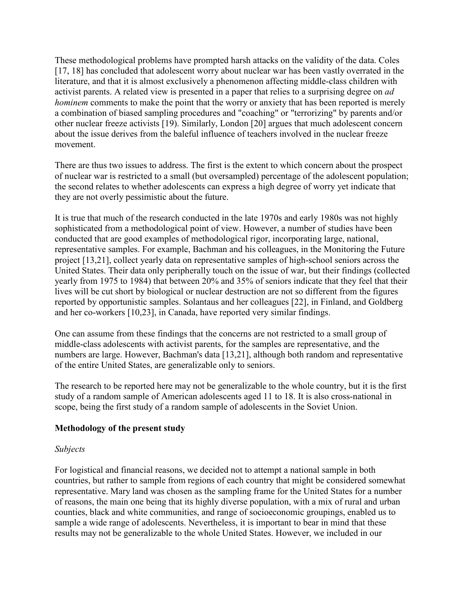These methodological problems have prompted harsh attacks on the validity of the data. Coles [17, 18] has concluded that adolescent worry about nuclear war has been vastly overrated in the literature, and that it is almost exclusively a phenomenon affecting middle-class children with activist parents. A related view is presented in a paper that relies to a surprising degree on *ad hominem* comments to make the point that the worry or anxiety that has been reported is merely a combination of biased sampling procedures and "coaching" or "terrorizing" by parents and/or other nuclear freeze activists [19). Similarly, London [20] argues that much adolescent concern about the issue derives from the baleful influence of teachers involved in the nuclear freeze movement.

There are thus two issues to address. The first is the extent to which concern about the prospect of nuclear war is restricted to a small (but oversampled) percentage of the adolescent population; the second relates to whether adolescents can express a high degree of worry yet indicate that they are not overly pessimistic about the future.

It is true that much of the research conducted in the late 1970s and early 1980s was not highly sophisticated from a methodological point of view. However, a number of studies have been conducted that are good examples of methodological rigor, incorporating large, national, representative samples. For example, Bachman and his colleagues, in the Monitoring the Future project [13,21], collect yearly data on representative samples of high-school seniors across the United States. Their data only peripherally touch on the issue of war, but their findings (collected yearly from 1975 to 1984) that between 20% and 35% of seniors indicate that they feel that their lives will be cut short by biological or nuclear destruction are not so different from the figures reported by opportunistic samples. Solantaus and her colleagues [22], in Finland, and Goldberg and her co-workers [10,23], in Canada, have reported very similar findings.

One can assume from these findings that the concerns are not restricted to a small group of middle-class adolescents with activist parents, for the samples are representative, and the numbers are large. However, Bachman's data [13,21], although both random and representative of the entire United States, are generalizable only to seniors.

The research to be reported here may not be generalizable to the whole country, but it is the first study of a random sample of American adolescents aged 11 to 18. It is also cross-national in scope, being the first study of a random sample of adolescents in the Soviet Union.

## **Methodology of the present study**

## *Subjects*

For logistical and financial reasons, we decided not to attempt a national sample in both countries, but rather to sample from regions of each country that might be considered somewhat representative. Mary land was chosen as the sampling frame for the United States for a number of reasons, the main one being that its highly diverse population, with a mix of rural and urban counties, black and white communities, and range of socioeconomic groupings, enabled us to sample a wide range of adolescents. Nevertheless, it is important to bear in mind that these results may not be generalizable to the whole United States. However, we included in our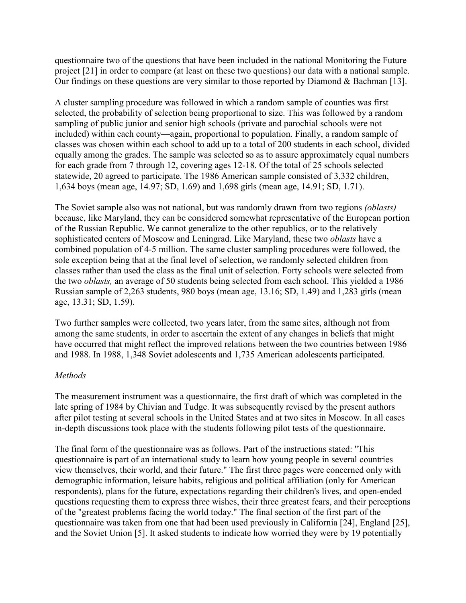questionnaire two of the questions that have been included in the national Monitoring the Future project [21] in order to compare (at least on these two questions) our data with a national sample. Our findings on these questions are very similar to those reported by Diamond & Bachman [13].

A cluster sampling procedure was followed in which a random sample of counties was first selected, the probability of selection being proportional to size. This was followed by a random sampling of public junior and senior high schools (private and parochial schools were not included) within each county—again, proportional to population. Finally, a random sample of classes was chosen within each school to add up to a total of 200 students in each school, divided equally among the grades. The sample was selected so as to assure approximately equal numbers for each grade from 7 through 12, covering ages 12-18. Of the total of 25 schools selected statewide, 20 agreed to participate. The 1986 American sample consisted of 3,332 children, 1,634 boys (mean age, 14.97; SD, 1.69) and 1,698 girls (mean age, 14.91; SD, 1.71).

The Soviet sample also was not national, but was randomly drawn from two regions *(oblasts)*  because, like Maryland, they can be considered somewhat representative of the European portion of the Russian Republic. We cannot generalize to the other republics, or to the relatively sophisticated centers of Moscow and Leningrad. Like Maryland, these two *oblasts* have a combined population of 4-5 million. The same cluster sampling procedures were followed, the sole exception being that at the final level of selection, we randomly selected children from classes rather than used the class as the final unit of selection. Forty schools were selected from the two *oblasts,* an average of 50 students being selected from each school. This yielded a 1986 Russian sample of 2,263 students, 980 boys (mean age, 13.16; SD, 1.49) and 1,283 girls (mean age, 13.31; SD, 1.59).

Two further samples were collected, two years later, from the same sites, although not from among the same students, in order to ascertain the extent of any changes in beliefs that might have occurred that might reflect the improved relations between the two countries between 1986 and 1988. In 1988, 1,348 Soviet adolescents and 1,735 American adolescents participated.

## *Methods*

The measurement instrument was a questionnaire, the first draft of which was completed in the late spring of 1984 by Chivian and Tudge. It was subsequently revised by the present authors after pilot testing at several schools in the United States and at two sites in Moscow. In all cases in-depth discussions took place with the students following pilot tests of the questionnaire.

The final form of the questionnaire was as follows. Part of the instructions stated: ''This questionnaire is part of an international study to learn how young people in several countries view themselves, their world, and their future." The first three pages were concerned only with demographic information, leisure habits, religious and political affiliation (only for American respondents), plans for the future, expectations regarding their children's lives, and open-ended questions requesting them to express three wishes, their three greatest fears, and their perceptions of the "greatest problems facing the world today." The final section of the first part of the questionnaire was taken from one that had been used previously in California [24], England [25], and the Soviet Union [5]. It asked students to indicate how worried they were by 19 potentially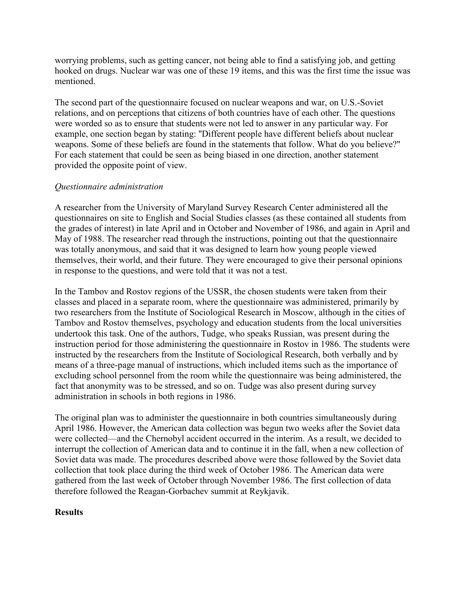worrying problems, such as getting cancer, not being able to find a satisfying job, and getting hooked on drugs. Nuclear war was one of these 19 items, and this was the first time the issue was mentioned.

The second part of the questionnaire focused on nuclear weapons and war, on U.S.-Soviet relations, and on perceptions that citizens of both countries have of each other. The questions were worded so as to ensure that students were not led to answer in any particular way. For example, one section began by stating: ''Different people have different beliefs about nuclear weapons. Some of these beliefs are found in the statements that follow. What do you believe?'' For each statement that could be seen as being biased in one direction, another statement provided the opposite point of view.

# *Questionnaire administration*

A researcher from the University of Maryland Survey Research Center administered all the questionnaires on site to English and Social Studies classes (as these contained all students from the grades of interest) in late April and in October and November of 1986, and again in April and May of 1988. The researcher read through the instructions, pointing out that the questionnaire was totally anonymous, and said that it was designed to learn how young people viewed themselves, their world, and their future. They were encouraged to give their personal opinions in response to the questions, and were told that it was not a test.

In the Tambov and Rostov regions of the USSR, the chosen students were taken from their classes and placed in a separate room, where the questionnaire was administered, primarily by two researchers from the Institute of Sociological Research in Moscow, although in the cities of Tambov and Rostov themselves, psychology and education students from the local universities undertook this task. One of the authors, Tudge, who speaks Russian, was present during the instruction period for those administering the questionnaire in Rostov in 1986. The students were instructed by the researchers from the Institute of Sociological Research, both verbally and by means of a three-page manual of instructions, which included items such as the importance of excluding school personnel from the room while the questionnaire was being administered, the fact that anonymity was to be stressed, and so on. Tudge was also present during survey administration in schools in both regions in 1986.

The original plan was to administer the questionnaire in both countries simultaneously during April 1986. However, the American data collection was begun two weeks after the Soviet data were collected—and the Chernobyl accident occurred in the interim. As a result, we decided to interrupt the collection of American data and to continue it in the fall, when a new collection of Soviet data was made. The procedures described above were those followed by the Soviet data collection that took place during the third week of October 1986. The American data were gathered from the last week of October through November 1986. The first collection of data therefore followed the Reagan-Gorbachev summit at Reykjavik.

## **Results**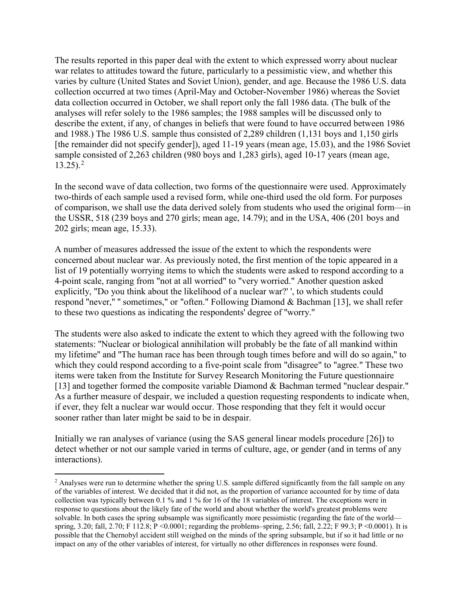The results reported in this paper deal with the extent to which expressed worry about nuclear war relates to attitudes toward the future, particularly to a pessimistic view, and whether this varies by culture (United States and Soviet Union), gender, and age. Because the 1986 U.S. data collection occurred at two times (April-May and October-November 1986) whereas the Soviet data collection occurred in October, we shall report only the fall 1986 data. (The bulk of the analyses will refer solely to the 1986 samples; the 1988 samples will be discussed only to describe the extent, if any, of changes in beliefs that were found to have occurred between 1986 and 1988.) The 1986 U.S. sample thus consisted of 2,289 children (1,131 boys and 1,150 girls [the remainder did not specify gender]), aged 11-19 years (mean age, 15.03), and the 1986 Soviet sample consisted of 2,263 children (980 boys and 1,283 girls), aged 10-17 years (mean age,  $13.25$  $13.25$  $13.25$ ).<sup>2</sup>

In the second wave of data collection, two forms of the questionnaire were used. Approximately two-thirds of each sample used a revised form, while one-third used the old form. For purposes of comparison, we shall use the data derived solely from students who used the original form—in the USSR, 518 (239 boys and 270 girls; mean age, 14.79); and in the USA, 406 (201 boys and 202 girls; mean age, 15.33).

A number of measures addressed the issue of the extent to which the respondents were concerned about nuclear war. As previously noted, the first mention of the topic appeared in a list of 19 potentially worrying items to which the students were asked to respond according to a 4-point scale, ranging from "not at all worried" to "very worried." Another question asked explicitly, "Do you think about the likelihood of a nuclear war?' ', to which students could respond ''never,'' '' sometimes," or "often." Following Diamond & Bachman [13], we shall refer to these two questions as indicating the respondents' degree of ''worry.''

The students were also asked to indicate the extent to which they agreed with the following two statements: ''Nuclear or biological annihilation will probably be the fate of all mankind within my lifetime'' and ''The human race has been through tough times before and will do so again,'' to which they could respond according to a five-point scale from "disagree" to "agree." These two items were taken from the Institute for Survey Research Monitoring the Future questionnaire [13] and together formed the composite variable Diamond & Bachman termed "nuclear despair." As a further measure of despair, we included a question requesting respondents to indicate when, if ever, they felt a nuclear war would occur. Those responding that they felt it would occur sooner rather than later might be said to be in despair.

Initially we ran analyses of variance (using the SAS general linear models procedure [26]) to detect whether or not our sample varied in terms of culture, age, or gender (and in terms of any interactions).

l

<span id="page-6-0"></span> $<sup>2</sup>$  Analyses were run to determine whether the spring U.S. sample differed significantly from the fall sample on any</sup> of the variables of interest. We decided that it did not, as the proportion of variance accounted for by time of data collection was typically between 0.1 % and 1 % for 16 of the 18 variables of interest. The exceptions were in response to questions about the likely fate of the world and about whether the world's greatest problems were solvable. In both cases the spring subsample was significantly more pessimistic (regarding the fate of the world spring, 3.20; fall, 2.70; F 112.8; P <0.0001; regarding the problems–spring, 2.56; fall, 2.22; F 99.3; P <0.0001). It is possible that the Chernobyl accident still weighed on the minds of the spring subsample, but if so it had little or no impact on any of the other variables of interest, for virtually no other differences in responses were found.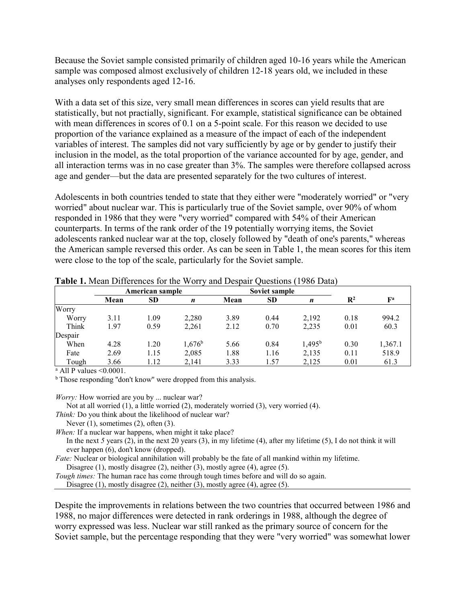Because the Soviet sample consisted primarily of children aged 10-16 years while the American sample was composed almost exclusively of children 12-18 years old, we included in these analyses only respondents aged 12-16.

With a data set of this size, very small mean differences in scores can yield results that are statistically, but not practially, significant. For example, statistical significance can be obtained with mean differences in scores of 0.1 on a 5-point scale. For this reason we decided to use proportion of the variance explained as a measure of the impact of each of the independent variables of interest. The samples did not vary sufficiently by age or by gender to justify their inclusion in the model, as the total proportion of the variance accounted for by age, gender, and all interaction terms was in no case greater than 3%. The samples were therefore collapsed across age and gender—but the data are presented separately for the two cultures of interest.

Adolescents in both countries tended to state that they either were "moderately worried" or "very worried" about nuclear war. This is particularly true of the Soviet sample, over 90% of whom responded in 1986 that they were "very worried" compared with 54% of their American counterparts. In terms of the rank order of the 19 potentially worrying items, the Soviet adolescents ranked nuclear war at the top, closely followed by "death of one's parents," whereas the American sample reversed this order. As can be seen in Table 1, the mean scores for this item were close to the top of the scale, particularly for the Soviet sample.

|         | American sample |           |                 |      | Soviet sample |                 |                |         |
|---------|-----------------|-----------|-----------------|------|---------------|-----------------|----------------|---------|
|         | Mean            | <b>SD</b> | n               | Mean | <b>SD</b>     | n               | $\mathbf{R}^2$ | Fa      |
| Worry   |                 |           |                 |      |               |                 |                |         |
| Worry   | 3.11            | 1.09      | 2,280           | 3.89 | 0.44          | 2,192           | 0.18           | 994.2   |
| Think   | 1.97            | 0.59      | 2,261           | 2.12 | 0.70          | 2,235           | 0.01           | 60.3    |
| Despair |                 |           |                 |      |               |                 |                |         |
| When    | 4.28            | 1.20      | $1,676^{\rm b}$ | 5.66 | 0.84          | $1,495^{\rm b}$ | 0.30           | 1,367.1 |
| Fate    | 2.69            | 1.15      | 2,085           | 1.88 | 1.16          | 2,135           | 0.11           | 518.9   |
| Tough   | 3.66            | 1.12      | 2,141           | 3.33 | 1.57          | 2,125           | 0.01           | 61.3    |

**Table 1.** Mean Differences for the Worry and Despair Questions (1986 Data)

 $^{\circ}$  All P values <0.0001.

b Those responding ''don't know'' were dropped from this analysis.

*Worry:* How worried are you by ... nuclear war?

Not at all worried (1), a little worried (2), moderately worried (3), very worried (4).

*Think:* Do you think about the likelihood of nuclear war?

Never (1), sometimes (2), often (3).

*When:* If a nuclear war happens, when might it take place?

In the next 5 years (2), in the next 20 years (3), in my lifetime (4), after my lifetime (5), I do not think it will ever happen (6), don't know (dropped).

*Fate:* Nuclear or biological annihilation will probably be the fate of all mankind within my lifetime.

Disagree (1), mostly disagree (2), neither (3), mostly agree (4), agree (5).

*Tough times:* The human race has come through tough times before and will do so again.

Disagree (1), mostly disagree (2), neither (3), mostly agree (4), agree (5).

Despite the improvements in relations between the two countries that occurred between 1986 and 1988, no major differences were detected in rank orderings in 1988, although the degree of worry expressed was less. Nuclear war still ranked as the primary source of concern for the Soviet sample, but the percentage responding that they were "very worried" was somewhat lower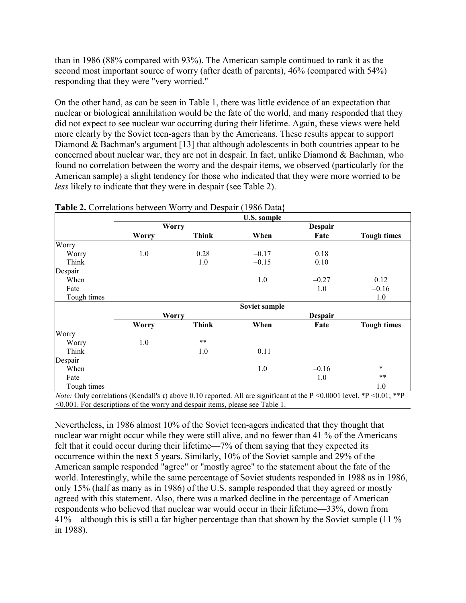than in 1986 (88% compared with 93%). The American sample continued to rank it as the second most important source of worry (after death of parents), 46% (compared with 54%) responding that they were "very worried."

On the other hand, as can be seen in Table 1, there was little evidence of an expectation that nuclear or biological annihilation would be the fate of the world, and many responded that they did not expect to see nuclear war occurring during their lifetime. Again, these views were held more clearly by the Soviet teen-agers than by the Americans. These results appear to support Diamond & Bachman's argument [13] that although adolescents in both countries appear to be concerned about nuclear war, they are not in despair. In fact, unlike Diamond & Bachman, who found no correlation between the worry and the despair items, we observed (particularly for the American sample) a slight tendency for those who indicated that they were more worried to be *less* likely to indicate that they were in despair (see Table 2).

|             |              |              | <b>U.S. sample</b> |         |                    |  |
|-------------|--------------|--------------|--------------------|---------|--------------------|--|
|             |              | <b>Worry</b> |                    | Despair |                    |  |
|             | <b>Worry</b> | <b>Think</b> | When               | Fate    | <b>Tough times</b> |  |
| Worry       |              |              |                    |         |                    |  |
| Worry       | 1.0          | 0.28         | $-0.17$            | 0.18    |                    |  |
| Think       |              | 1.0          | $-0.15$            | 0.10    |                    |  |
| Despair     |              |              |                    |         |                    |  |
| When        |              |              | 1.0                | $-0.27$ | 0.12               |  |
| Fate        |              |              |                    | 1.0     | $-0.16$            |  |
| Tough times |              |              |                    |         | 1.0                |  |
|             |              |              | Soviet sample      |         |                    |  |
|             | Worry        |              |                    |         |                    |  |
|             | Worry        | <b>Think</b> | When               | Fate    | <b>Tough times</b> |  |
| Worry       |              |              |                    |         |                    |  |
| Worry       | 1.0          | $***$        |                    |         |                    |  |
| Think       |              | 1.0          | $-0.11$            |         |                    |  |
| Despair     |              |              |                    |         |                    |  |
| When        |              |              | 1.0                | $-0.16$ | $\ast$             |  |
| Fate        |              |              |                    | 1.0     | $-**$              |  |
| Tough times |              |              |                    |         | 1.0                |  |

**Table 2.** Correlations between Worry and Despair (1986 Data}

*Note:* Only correlations (Kendall's τ) above 0.10 reported. All are significant at the P <0.0001 level. \*P <0.01; \*\*P <0.001. For descriptions of the worry and despair items, please see Table 1.

Nevertheless, in 1986 almost 10% of the Soviet teen-agers indicated that they thought that nuclear war might occur while they were still alive, and no fewer than 41 % of the Americans felt that it could occur during their lifetime—7% of them saying that they expected its occurrence within the next 5 years. Similarly, 10% of the Soviet sample and 29% of the American sample responded "agree" or "mostly agree" to the statement about the fate of the world. Interestingly, while the same percentage of Soviet students responded in 1988 as in 1986, only 15% (half as many as in 1986) of the U.S. sample responded that they agreed or mostly agreed with this statement. Also, there was a marked decline in the percentage of American respondents who believed that nuclear war would occur in their lifetime—33%, down from 41%—although this is still a far higher percentage than that shown by the Soviet sample (11 % in 1988).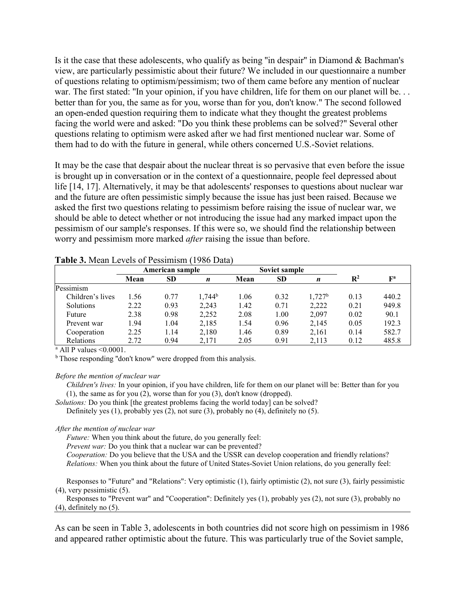Is it the case that these adolescents, who qualify as being ''in despair'' in Diamond & Bachman's view, are particularly pessimistic about their future? We included in our questionnaire a number of questions relating to optimism/pessimism; two of them came before any mention of nuclear war. The first stated: "In your opinion, if you have children, life for them on our planet will be. . . better than for you, the same as for you, worse than for you, don't know." The second followed an open-ended question requiring them to indicate what they thought the greatest problems facing the world were and asked: "Do you think these problems can be solved?" Several other questions relating to optimism were asked after we had first mentioned nuclear war. Some of them had to do with the future in general, while others concerned U.S.-Soviet relations.

It may be the case that despair about the nuclear threat is so pervasive that even before the issue is brought up in conversation or in the context of a questionnaire, people feel depressed about life [14, 17]. Alternatively, it may be that adolescents' responses to questions about nuclear war and the future are often pessimistic simply because the issue has just been raised. Because we asked the first two questions relating to pessimism before raising the issue of nuclear war, we should be able to detect whether or not introducing the issue had any marked impact upon the pessimism of our sample's responses. If this were so, we should find the relationship between worry and pessimism more marked *after* raising the issue than before.

|                  | American sample |      |           | Soviet sample |      |                    |                |                           |
|------------------|-----------------|------|-----------|---------------|------|--------------------|----------------|---------------------------|
|                  | Mean            | SD   | n         | Mean          | SD   | n                  | $\mathbb{R}^2$ | $\mathbf{F}^{\mathbf{a}}$ |
| Pessimism        |                 |      |           |               |      |                    |                |                           |
| Children's lives | 1.56            | 0.77 | $1,744^b$ | 1.06          | 0.32 | 1,727 <sup>b</sup> | 0.13           | 440.2                     |
| Solutions        | 2.22            | 0.93 | 2,243     | 1.42          | 0.71 | 2,222              | 0.21           | 949.8                     |
| Future           | 2.38            | 0.98 | 2,252     | 2.08          | 1.00 | 2.097              | 0.02           | 90.1                      |
| Prevent war      | 1.94            | 1.04 | 2,185     | 1.54          | 0.96 | 2,145              | 0.05           | 192.3                     |
| Cooperation      | 2.25            | 1.14 | 2,180     | 1.46          | 0.89 | 2,161              | 0.14           | 582.7                     |
| Relations        | 2.72            | 0.94 | 2.171     | 2.05          | 0.91 | 2,113              | 0.12           | 485.8                     |

**Table 3.** Mean Levels of Pessimism (1986 Data)

 $^{\circ}$  All P values <0.0001.

b Those responding ''don't know'' were dropped from this analysis.

#### *Before the mention of nuclear war*

*Children's lives:* In your opinion, if you have children, life for them on our planet will be: Better than for you (1), the same as for you (2), worse than for you (3), don't know (dropped).

*Solutions:* Do you think [the greatest problems facing the world today] can be solved?

Definitely yes (1), probably yes (2), not sure (3), probably no (4), definitely no (5).

#### *After the mention of nuclear war*

*Future:* When you think about the future, do you generally feel:

*Prevent war:* Do you think that a nuclear war can be prevented? *Cooperation:* Do you believe that the USA and the USSR can develop cooperation and friendly relations?

*Relations:* When you think about the future of United States-Soviet Union relations, do you generally feel:

Responses to "Future" and "Relations": Very optimistic (1), fairly optimistic (2), not sure (3), fairly pessimistic (4), very pessimistic (5).

Responses to "Prevent war" and "Cooperation": Definitely yes (1), probably yes (2), not sure (3), probably no (4), definitely no (5).

As can be seen in Table 3, adolescents in both countries did not score high on pessimism in 1986 and appeared rather optimistic about the future. This was particularly true of the Soviet sample,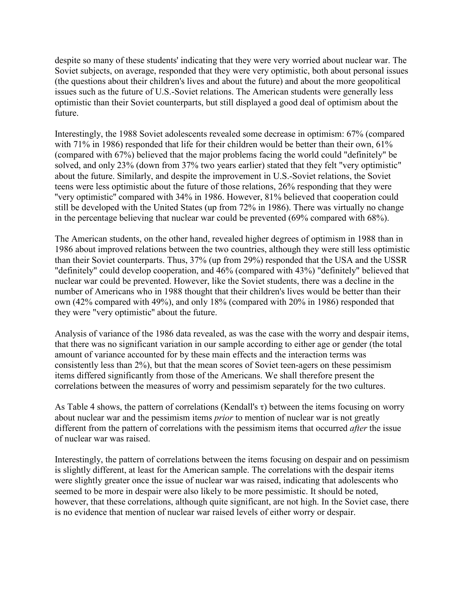despite so many of these students' indicating that they were very worried about nuclear war. The Soviet subjects, on average, responded that they were very optimistic, both about personal issues (the questions about their children's lives and about the future) and about the more geopolitical issues such as the future of U.S.-Soviet relations. The American students were generally less optimistic than their Soviet counterparts, but still displayed a good deal of optimism about the future.

Interestingly, the 1988 Soviet adolescents revealed some decrease in optimism: 67% (compared with 71% in 1986) responded that life for their children would be better than their own, 61% (compared with 67%) believed that the major problems facing the world could "definitely" be solved, and only 23% (down from 37% two years earlier) stated that they felt "very optimistic" about the future. Similarly, and despite the improvement in U.S.-Soviet relations, the Soviet teens were less optimistic about the future of those relations, 26% responding that they were ''very optimistic'' compared with 34% in 1986. However, 81% believed that cooperation could still be developed with the United States (up from 72% in 1986). There was virtually no change in the percentage believing that nuclear war could be prevented (69% compared with 68%).

The American students, on the other hand, revealed higher degrees of optimism in 1988 than in 1986 about improved relations between the two countries, although they were still less optimistic than their Soviet counterparts. Thus, 37% (up from 29%) responded that the USA and the USSR "definitely" could develop cooperation, and 46% (compared with 43%) "definitely" believed that nuclear war could be prevented. However, like the Soviet students, there was a decline in the number of Americans who in 1988 thought that their children's lives would be better than their own (42% compared with 49%), and only 18% (compared with 20% in 1986) responded that they were "very optimistic'' about the future.

Analysis of variance of the 1986 data revealed, as was the case with the worry and despair items, that there was no significant variation in our sample according to either age or gender (the total amount of variance accounted for by these main effects and the interaction terms was consistently less than 2%), but that the mean scores of Soviet teen-agers on these pessimism items differed significantly from those of the Americans. We shall therefore present the correlations between the measures of worry and pessimism separately for the two cultures.

As Table 4 shows, the pattern of correlations (Kendall's  $\tau$ ) between the items focusing on worry about nuclear war and the pessimism items *prior* to mention of nuclear war is not greatly different from the pattern of correlations with the pessimism items that occurred *after* the issue of nuclear war was raised.

Interestingly, the pattern of correlations between the items focusing on despair and on pessimism is slightly different, at least for the American sample. The correlations with the despair items were slightly greater once the issue of nuclear war was raised, indicating that adolescents who seemed to be more in despair were also likely to be more pessimistic. It should be noted, however, that these correlations, although quite significant, are not high. In the Soviet case, there is no evidence that mention of nuclear war raised levels of either worry or despair.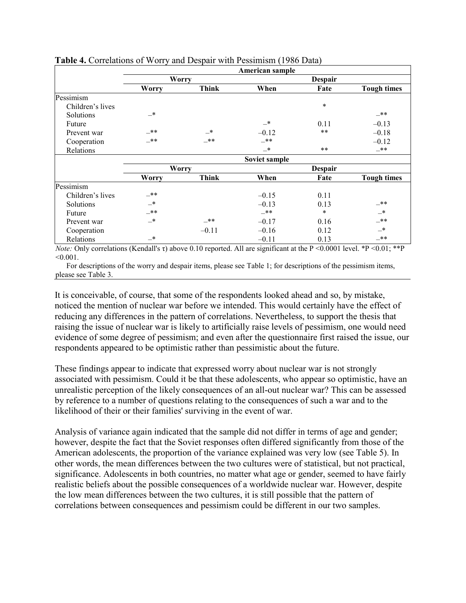|                  |                            |              | American sample |                |                    |
|------------------|----------------------------|--------------|-----------------|----------------|--------------------|
|                  |                            | Worry        |                 | <b>Despair</b> |                    |
|                  | Worry                      | <b>Think</b> | When            | Fate           | <b>Tough times</b> |
| Pessimism        |                            |              |                 |                |                    |
| Children's lives |                            |              |                 | $\ast$         |                    |
| Solutions        | $\overline{\phantom{0}}^*$ |              |                 |                | $-**$              |
| Future           |                            |              | $\mathbf{a}^*$  | 0.11           | $-0.13$            |
| Prevent war      | $-**$                      | _*           | $-0.12$         | **             | $-0.18$            |
| Cooperation      | $-**$                      | $-***$       | $-**$           |                | $-0.12$            |
| Relations        |                            |              | $-*$            | **             | $***$              |
|                  |                            |              | Soviet sample   |                |                    |
|                  |                            | <b>Worry</b> |                 | <b>Despair</b> |                    |
|                  | Worry                      | <b>Think</b> | When            | Fate           | <b>Tough times</b> |
| Pessimism        |                            |              |                 |                |                    |
| Children's lives | $-**$                      |              | $-0.15$         | 0.11           |                    |
| Solutions        | $-*$                       |              | $-0.13$         | 0.13           | $-**$              |
| Future           | $-**$                      |              | $-**$           | $\ast$         | $-*$               |
| Prevent war      | $-*$                       | $-***$       | $-0.17$         | 0.16           | $-**$              |
| Cooperation      |                            | $-0.11$      | $-0.16$         | 0.12           | $-*$               |
| Relations        | $\mathbf{a}^*$             |              | $-0.11$         | 0.13           | $-**$              |

### **Table 4.** Correlations of Worry and Despair with Pessimism (1986 Data)

*Note:* Only correlations (Kendall's τ) above 0.10 reported. All are significant at the P <0.0001 level. \*P <0.01; \*\*P  $< 0.001$ .

For descriptions of the worry and despair items, please see Table 1; for descriptions of the pessimism items, please see Table 3.

It is conceivable, of course, that some of the respondents looked ahead and so, by mistake, noticed the mention of nuclear war before we intended. This would certainly have the effect of reducing any differences in the pattern of correlations. Nevertheless, to support the thesis that raising the issue of nuclear war is likely to artificially raise levels of pessimism, one would need evidence of some degree of pessimism; and even after the questionnaire first raised the issue, our respondents appeared to be optimistic rather than pessimistic about the future.

These findings appear to indicate that expressed worry about nuclear war is not strongly associated with pessimism. Could it be that these adolescents, who appear so optimistic, have an unrealistic perception of the likely consequences of an all-out nuclear war? This can be assessed by reference to a number of questions relating to the consequences of such a war and to the likelihood of their or their families' surviving in the event of war.

Analysis of variance again indicated that the sample did not differ in terms of age and gender; however, despite the fact that the Soviet responses often differed significantly from those of the American adolescents, the proportion of the variance explained was very low (see Table 5). In other words, the mean differences between the two cultures were of statistical, but not practical, significance. Adolescents in both countries, no matter what age or gender, seemed to have fairly realistic beliefs about the possible consequences of a worldwide nuclear war. However, despite the low mean differences between the two cultures, it is still possible that the pattern of correlations between consequences and pessimism could be different in our two samples.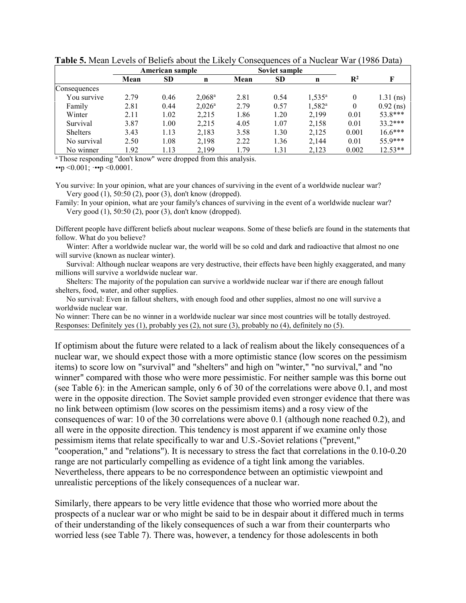|                 | American sample |           |                 | Soviet sample |           |                 |                |             |
|-----------------|-----------------|-----------|-----------------|---------------|-----------|-----------------|----------------|-------------|
|                 | Mean            | <b>SD</b> | n               | Mean          | <b>SD</b> | n               | $\mathbf{R}^2$ |             |
| Consequences    |                 |           |                 |               |           |                 |                |             |
| You survive     | 2.79            | 0.46      | $2.068^{\rm a}$ | 2.81          | 0.54      | $1,535^{\circ}$ |                | $1.31$ (ns) |
| Family          | 2.81            | 0.44      | $2,026^{\rm a}$ | 2.79          | 0.57      | $1,582^{\rm a}$ | 0              | $0.92$ (ns) |
| Winter          | 2.11            | 1.02      | 2,215           | 1.86          | 1.20      | 2.199           | 0.01           | 53.8***     |
| Survival        | 3.87            | 1.00      | 2.215           | 4.05          | 1.07      | 2,158           | 0.01           | $33.2***$   |
| <b>Shelters</b> | 3.43            | 1.13      | 2,183           | 3.58          | 1.30      | 2,125           | 0.001          | $16.6***$   |
| No survival     | 2.50            | 1.08      | 2,198           | 2.22          | 1.36      | 2,144           | 0.01           | 55.9***     |
| No winner       | 1.92            | 1.13      | 2.199           | 1.79          | 1.31      | 2,123           | 0.002          | $12.53**$   |

**Table 5.** Mean Levels of Beliefs about the Likely Consequences of a Nuclear War (1986 Data)

a Those responding "don't know" were dropped from this analysis.

••  $p \le 0.001$ ; ••  $p \le 0.0001$ .

You survive: In your opinion, what are your chances of surviving in the event of a worldwide nuclear war? Very good (1), 50:50 (2), poor (3), don't know (dropped).

Family: In your opinion, what are your family's chances of surviving in the event of a worldwide nuclear war? Very good (1), 50:50 (2), poor (3), don't know (dropped).

Different people have different beliefs about nuclear weapons. Some of these beliefs are found in the statements that follow. What do you believe?

Winter: After a worldwide nuclear war, the world will be so cold and dark and radioactive that almost no one will survive (known as nuclear winter).

Survival: Although nuclear weapons are very destructive, their effects have been highly exaggerated, and many millions will survive a worldwide nuclear war.

Shelters: The majority of the population can survive a worldwide nuclear war if there are enough fallout shelters, food, water, and other supplies.

No survival: Even in fallout shelters, with enough food and other supplies, almost no one will survive a worldwide nuclear war.

No winner: There can be no winner in a worldwide nuclear war since most countries will be totally destroyed. Responses: Definitely yes (1), probably yes (2), not sure (3), probably no (4), definitely no (5).

If optimism about the future were related to a lack of realism about the likely consequences of a nuclear war, we should expect those with a more optimistic stance (low scores on the pessimism items) to score low on "survival" and "shelters" and high on "winter," "no survival," and "no winner" compared with those who were more pessimistic. For neither sample was this borne out (see Table 6): in the American sample, only 6 of 30 of the correlations were above 0.1, and most were in the opposite direction. The Soviet sample provided even stronger evidence that there was no link between optimism (low scores on the pessimism items) and a rosy view of the consequences of war: 10 of the 30 correlations were above 0.1 (although none reached 0.2), and all were in the opposite direction. This tendency is most apparent if we examine only those pessimism items that relate specifically to war and U.S.-Soviet relations ("prevent," "cooperation," and "relations"). It is necessary to stress the fact that correlations in the 0.10-0.20 range are not particularly compelling as evidence of a tight link among the variables. Nevertheless, there appears to be no correspondence between an optimistic viewpoint and unrealistic perceptions of the likely consequences of a nuclear war.

Similarly, there appears to be very little evidence that those who worried more about the prospects of a nuclear war or who might be said to be in despair about it differed much in terms of their understanding of the likely consequences of such a war from their counterparts who worried less (see Table 7). There was, however, a tendency for those adolescents in both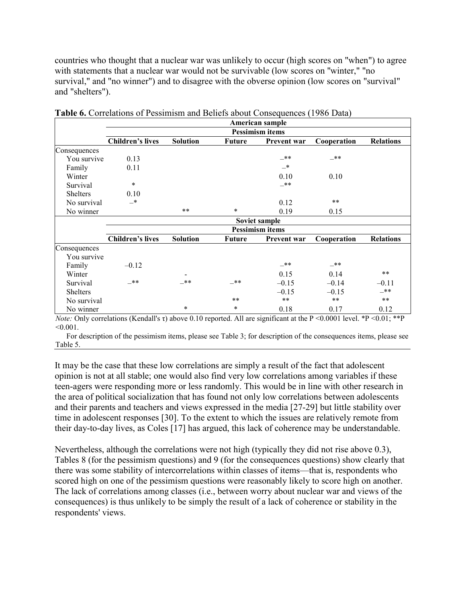countries who thought that a nuclear war was unlikely to occur (high scores on "when") to agree with statements that a nuclear war would not be survivable (low scores on ''winter," "no survival," and "no winner") and to disagree with the obverse opinion (low scores on "survival" and "shelters").

|                 | <b>American sample</b>                                      |                                |                                       |                                |                                                 |                              |  |  |  |  |  |
|-----------------|-------------------------------------------------------------|--------------------------------|---------------------------------------|--------------------------------|-------------------------------------------------|------------------------------|--|--|--|--|--|
|                 |                                                             | <b>Pessimism items</b>         |                                       |                                |                                                 |                              |  |  |  |  |  |
|                 | <b>Children's lives</b><br><b>Solution</b><br><b>Future</b> |                                | Prevent war                           | Cooperation                    | <b>Relations</b>                                |                              |  |  |  |  |  |
| Consequences    |                                                             |                                |                                       |                                |                                                 |                              |  |  |  |  |  |
| You survive     | 0.13                                                        |                                |                                       | $-**$                          | **                                              |                              |  |  |  |  |  |
| Family          | 0.11                                                        |                                |                                       | $-*$                           |                                                 |                              |  |  |  |  |  |
| Winter          |                                                             |                                |                                       | 0.10                           | 0.10                                            |                              |  |  |  |  |  |
| Survival        | $\ast$                                                      |                                |                                       | $-**$                          |                                                 |                              |  |  |  |  |  |
| <b>Shelters</b> | 0.10                                                        |                                |                                       |                                |                                                 |                              |  |  |  |  |  |
| No survival     | $\rightarrow$                                               |                                |                                       | 0.12                           | $***$                                           |                              |  |  |  |  |  |
| No winner       |                                                             | **                             | *                                     | 0.19                           | 0.15                                            |                              |  |  |  |  |  |
|                 |                                                             |                                |                                       | Soviet sample                  |                                                 |                              |  |  |  |  |  |
|                 |                                                             |                                |                                       | <b>Pessimism items</b>         |                                                 |                              |  |  |  |  |  |
|                 | <b>Children's lives</b>                                     | <b>Solution</b>                | <b>Future</b>                         | <b>Prevent war</b>             | Cooperation                                     | <b>Relations</b>             |  |  |  |  |  |
| Consequences    |                                                             |                                |                                       |                                |                                                 |                              |  |  |  |  |  |
| You survive     |                                                             |                                |                                       |                                |                                                 |                              |  |  |  |  |  |
| Family          | $-0.12$                                                     |                                |                                       | $-**$                          | $-**$                                           |                              |  |  |  |  |  |
| Winter          |                                                             |                                |                                       | 0.15                           | 0.14                                            | $***$                        |  |  |  |  |  |
| Survival        | $-**$                                                       | **                             | **                                    | $-0.15$                        | $-0.14$                                         | $-0.11$                      |  |  |  |  |  |
| <b>Shelters</b> |                                                             |                                |                                       | $-0.15$                        | $-0.15$                                         | $-**$                        |  |  |  |  |  |
| No survival     |                                                             |                                | **                                    | $***$                          | $***$                                           | **                           |  |  |  |  |  |
| No winner       | .<br>$-$                                                    | $\ast$<br>$\sim$ $\sim$ $\sim$ | $\ast$<br>$\sim$ $\sim$ $\sim$ $\sim$ | 0.18<br>$\cdot$ $\cdot$ $\sim$ | 0.17<br>0.0011<br>$\mathbf{A}$ and $\mathbf{A}$ | 0.12<br>$\sim$ $\sim$ $\sim$ |  |  |  |  |  |

**Table 6.** Correlations of Pessimism and Beliefs about Consequences (1986 Data)

*Note:* Only correlations (Kendall's τ) above 0.10 reported. All are significant at the P <0.0001 level. \*P <0.01; \*\*P  $< 0.001$ .

For description of the pessimism items, please see Table 3; for description of the consequences items, please see Table 5.

It may be the case that these low correlations are simply a result of the fact that adolescent opinion is not at all stable; one would also find very low correlations among variables if these teen-agers were responding more or less randomly. This would be in line with other research in the area of political socialization that has found not only low correlations between adolescents and their parents and teachers and views expressed in the media [27-29] but little stability over time in adolescent responses [30]. To the extent to which the issues are relatively remote from their day-to-day lives, as Coles [17] has argued, this lack of coherence may be understandable.

Nevertheless, although the correlations were not high (typically they did not rise above 0.3), Tables 8 (for the pessimism questions) and 9 (for the consequences questions) show clearly that there was some stability of intercorrelations within classes of items—that is, respondents who scored high on one of the pessimism questions were reasonably likely to score high on another. The lack of correlations among classes (i.e., between worry about nuclear war and views of the consequences) is thus unlikely to be simply the result of a lack of coherence or stability in the respondents' views.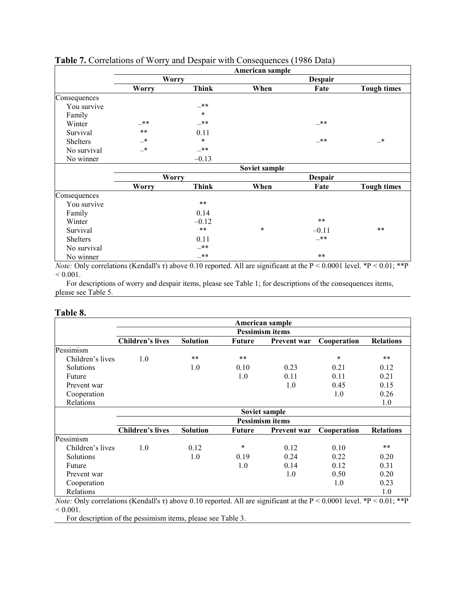|                 |               |              | American sample |                |                    |  |  |
|-----------------|---------------|--------------|-----------------|----------------|--------------------|--|--|
|                 |               | <b>Worry</b> |                 | <b>Despair</b> |                    |  |  |
|                 | Worry         | <b>Think</b> | When            | Fate           | <b>Tough times</b> |  |  |
| Consequences    |               |              |                 |                |                    |  |  |
| You survive     |               | $-**$        |                 |                |                    |  |  |
| Family          |               | $\ast$       |                 |                |                    |  |  |
| Winter          | $-**$         | $-**$        |                 | $-**$          |                    |  |  |
| Survival        | $***$         | 0.11         |                 |                |                    |  |  |
| Shelters        | $\rightarrow$ | $\ast$       |                 | $-**$          | _*                 |  |  |
| No survival     | $\rightarrow$ | $-**$        |                 |                |                    |  |  |
| No winner       |               | $-0.13$      |                 |                |                    |  |  |
|                 |               |              | Soviet sample   |                |                    |  |  |
|                 |               | <b>Worry</b> |                 | <b>Despair</b> |                    |  |  |
|                 | <b>Worry</b>  | <b>Think</b> | When            | Fate           | <b>Tough times</b> |  |  |
| Consequences    |               |              |                 |                |                    |  |  |
| You survive     |               | $***$        |                 |                |                    |  |  |
| Family          |               | 0.14         |                 |                |                    |  |  |
| Winter          |               | $-0.12$      |                 | $***$          |                    |  |  |
| Survival        |               | $***$        | $\ast$          | $-0.11$        | $***$              |  |  |
| <b>Shelters</b> |               | 0.11         |                 | $-**$          |                    |  |  |
| No survival     |               | $-**$        |                 |                |                    |  |  |
| No winner       |               | $-**$        |                 | $***$          |                    |  |  |

# **Table 7.** Correlations of Worry and Despair with Consequences (1986 Data)

*Note:* Only correlations (Kendall's τ) above 0.10 reported. All are significant at the P < 0.0001 level. \*P < 0.01; \*\*P  $< 0.001$ .

For descriptions of worry and despair items, please see Table 1; for descriptions of the consequences items, please see Table 5.

#### **Table 8.**

|                                                                                                                                     | American sample         |                 |               |                        |             |                  |  |  |
|-------------------------------------------------------------------------------------------------------------------------------------|-------------------------|-----------------|---------------|------------------------|-------------|------------------|--|--|
|                                                                                                                                     | <b>Pessimism items</b>  |                 |               |                        |             |                  |  |  |
|                                                                                                                                     | <b>Children's lives</b> | <b>Solution</b> | <b>Future</b> | <b>Prevent war</b>     | Cooperation | <b>Relations</b> |  |  |
| Pessimism                                                                                                                           |                         |                 |               |                        |             |                  |  |  |
| Children's lives                                                                                                                    | 1.0                     | **              | $***$         |                        | $\ast$      | **               |  |  |
| Solutions                                                                                                                           |                         | 1.0             | 0.10          | 0.23                   | 0.21        | 0.12             |  |  |
| Future                                                                                                                              |                         |                 | 1.0           | 0.11                   | 0.11        | 0.21             |  |  |
| Prevent war                                                                                                                         |                         |                 |               | 1.0                    | 0.45        | 0.15             |  |  |
| Cooperation                                                                                                                         |                         |                 |               |                        | 1.0         | 0.26             |  |  |
| Relations                                                                                                                           |                         |                 |               |                        |             | 1.0              |  |  |
|                                                                                                                                     |                         |                 |               | Soviet sample          |             |                  |  |  |
|                                                                                                                                     |                         |                 |               | <b>Pessimism items</b> |             |                  |  |  |
|                                                                                                                                     | <b>Children's lives</b> | <b>Solution</b> | <b>Future</b> | <b>Prevent war</b>     | Cooperation | <b>Relations</b> |  |  |
| Pessimism                                                                                                                           |                         |                 |               |                        |             |                  |  |  |
| Children's lives                                                                                                                    | 1.0                     | 0.12            | *             | 0.12                   | 0.10        | **               |  |  |
| Solutions                                                                                                                           |                         | 1.0             | 0.19          | 0.24                   | 0.22        | 0.20             |  |  |
| Future                                                                                                                              |                         |                 | 1.0           | 0.14                   | 0.12        | 0.31             |  |  |
| Prevent war                                                                                                                         |                         |                 |               | 1.0                    | 0.50        | 0.20             |  |  |
| Cooperation                                                                                                                         |                         |                 |               |                        | 1.0         | 0.23             |  |  |
| Relations                                                                                                                           |                         |                 |               |                        |             | 1.0              |  |  |
| <i>Note:</i> Only correlations (Kendall's $\tau$ ) above 0.10 reported. All are significant at the P < 0.0001 level. *P < 0.01; **P |                         |                 |               |                        |             |                  |  |  |

 $< 0.001$ .

For description of the pessimism items, please see Table 3.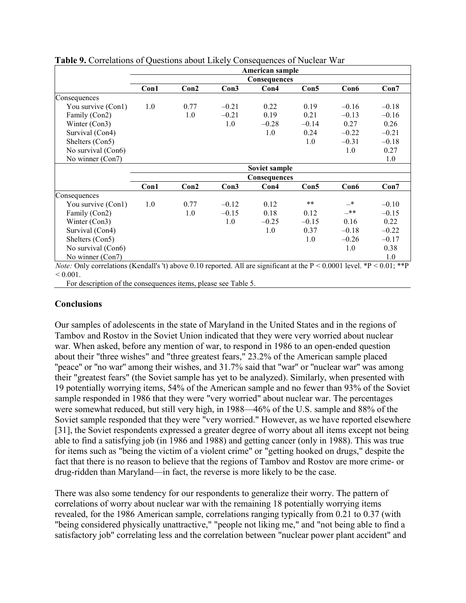|                                                                                                                              |              |      |         | American sample     |         |         |         |  |  |  |
|------------------------------------------------------------------------------------------------------------------------------|--------------|------|---------|---------------------|---------|---------|---------|--|--|--|
|                                                                                                                              | Consequences |      |         |                     |         |         |         |  |  |  |
|                                                                                                                              | Con1         | Con2 | Con3    | Con4                | Con5    | Con6    | Con7    |  |  |  |
| Consequences                                                                                                                 |              |      |         |                     |         |         |         |  |  |  |
| You survive (Con1)                                                                                                           | 1.0          | 0.77 | $-0.21$ | 0.22                | 0.19    | $-0.16$ | $-0.18$ |  |  |  |
| Family (Con2)                                                                                                                |              | 1.0  | $-0.21$ | 0.19                | 0.21    | $-0.13$ | $-0.16$ |  |  |  |
| Winter (Con3)                                                                                                                |              |      | 1.0     | $-0.28$             | $-0.14$ | 0.27    | 0.26    |  |  |  |
| Survival (Con4)                                                                                                              |              |      |         | 1.0                 | 0.24    | $-0.22$ | $-0.21$ |  |  |  |
| Shelters (Con5)                                                                                                              |              |      |         |                     | 1.0     | $-0.31$ | $-0.18$ |  |  |  |
| No survival (Con6)                                                                                                           |              |      |         |                     |         | 1.0     | 0.27    |  |  |  |
| No winner (Con7)                                                                                                             |              |      |         |                     |         |         | 1.0     |  |  |  |
|                                                                                                                              |              |      |         | Soviet sample       |         |         |         |  |  |  |
|                                                                                                                              |              |      |         | <b>Consequences</b> |         |         |         |  |  |  |
|                                                                                                                              | Con1         | Con2 | Con3    | Con4                | Con5    | Con6    | Con7    |  |  |  |
| Consequences                                                                                                                 |              |      |         |                     |         |         |         |  |  |  |
| You survive (Con1)                                                                                                           | 1.0          | 0.77 | $-0.12$ | 0.12                | **      | $-$ *   | $-0.10$ |  |  |  |
| Family (Con2)                                                                                                                |              | 1.0  | $-0.15$ | 0.18                | 0.12    | $-***$  | $-0.15$ |  |  |  |
| Winter (Con3)                                                                                                                |              |      | 1.0     | $-0.25$             | $-0.15$ | 0.16    | 0.22    |  |  |  |
| Survival (Con4)                                                                                                              |              |      |         | 1.0                 | 0.37    | $-0.18$ | $-0.22$ |  |  |  |
| Shelters (Con5)                                                                                                              |              |      |         |                     | 1.0     | $-0.26$ | $-0.17$ |  |  |  |
| No survival (Con6)                                                                                                           |              |      |         |                     |         | 1.0     | 0.38    |  |  |  |
| No winner (Con7)                                                                                                             |              |      |         |                     |         |         | 1.0     |  |  |  |
| Mater Only completions (V and all a 4) share 0.10 nonomial All age significant at the $D < 0.0001$ layel $*D < 0.01$ , $**D$ |              |      |         |                     |         |         |         |  |  |  |

#### **Table 9.** Correlations of Questions about Likely Consequences of Nuclear War

*Note:* Only correlations (Kendall's 't) above 0.10 reported. All are significant at the P < 0.0001 level. \*P < 0.01; \*\*P  $< 0.001$ .

For description of the consequences items, please see Table 5.

#### **Conclusions**

Our samples of adolescents in the state of Maryland in the United States and in the regions of Tambov and Rostov in the Soviet Union indicated that they were very worried about nuclear war. When asked, before any mention of war, to respond in 1986 to an open-ended question about their "three wishes" and "three greatest fears," 23.2% of the American sample placed "peace" or "no war" among their wishes, and 31.7% said that "war" or "nuclear war" was among their "greatest fears" (the Soviet sample has yet to be analyzed). Similarly, when presented with 19 potentially worrying items, 54% of the American sample and no fewer than 93% of the Soviet sample responded in 1986 that they were "very worried" about nuclear war. The percentages were somewhat reduced, but still very high, in 1988—46% of the U.S. sample and 88% of the Soviet sample responded that they were "very worried." However, as we have reported elsewhere [31], the Soviet respondents expressed a greater degree of worry about all items except not being able to find a satisfying job (in 1986 and 1988) and getting cancer (only in 1988). This was true for items such as "being the victim of a violent crime" or "getting hooked on drugs," despite the fact that there is no reason to believe that the regions of Tambov and Rostov are more crime- or drug-ridden than Maryland—in fact, the reverse is more likely to be the case.

There was also some tendency for our respondents to generalize their worry. The pattern of correlations of worry about nuclear war with the remaining 18 potentially worrying items revealed, for the 1986 American sample, correlations ranging typically from 0.21 to 0.37 (with "being considered physically unattractive," "people not liking me," and "not being able to find a satisfactory job" correlating less and the correlation between "nuclear power plant accident" and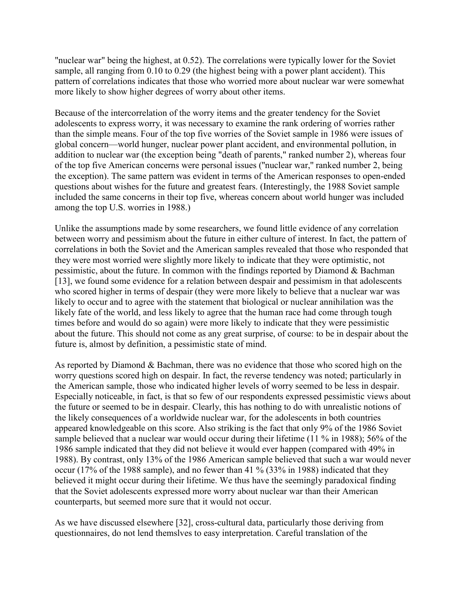"nuclear war" being the highest, at 0.52). The correlations were typically lower for the Soviet sample, all ranging from 0.10 to 0.29 (the highest being with a power plant accident). This pattern of correlations indicates that those who worried more about nuclear war were somewhat more likely to show higher degrees of worry about other items.

Because of the intercorrelation of the worry items and the greater tendency for the Soviet adolescents to express worry, it was necessary to examine the rank ordering of worries rather than the simple means. Four of the top five worries of the Soviet sample in 1986 were issues of global concern—world hunger, nuclear power plant accident, and environmental pollution, in addition to nuclear war (the exception being "death of parents," ranked number 2), whereas four of the top five American concerns were personal issues (''nuclear war,'' ranked number 2, being the exception). The same pattern was evident in terms of the American responses to open-ended questions about wishes for the future and greatest fears. (Interestingly, the 1988 Soviet sample included the same concerns in their top five, whereas concern about world hunger was included among the top U.S. worries in 1988.)

Unlike the assumptions made by some researchers, we found little evidence of any correlation between worry and pessimism about the future in either culture of interest. In fact, the pattern of correlations in both the Soviet and the American samples revealed that those who responded that they were most worried were slightly more likely to indicate that they were optimistic, not pessimistic, about the future. In common with the findings reported by Diamond & Bachman [13], we found some evidence for a relation between despair and pessimism in that adolescents who scored higher in terms of despair (they were more likely to believe that a nuclear war was likely to occur and to agree with the statement that biological or nuclear annihilation was the likely fate of the world, and less likely to agree that the human race had come through tough times before and would do so again) were more likely to indicate that they were pessimistic about the future. This should not come as any great surprise, of course: to be in despair about the future is, almost by definition, a pessimistic state of mind.

As reported by Diamond & Bachman, there was no evidence that those who scored high on the worry questions scored high on despair. In fact, the reverse tendency was noted; particularly in the American sample, those who indicated higher levels of worry seemed to be less in despair. Especially noticeable, in fact, is that so few of our respondents expressed pessimistic views about the future or seemed to be in despair. Clearly, this has nothing to do with unrealistic notions of the likely consequences of a worldwide nuclear war, for the adolescents in both countries appeared knowledgeable on this score. Also striking is the fact that only 9% of the 1986 Soviet sample believed that a nuclear war would occur during their lifetime (11 % in 1988); 56% of the 1986 sample indicated that they did not believe it would ever happen (compared with 49% in 1988). By contrast, only 13% of the 1986 American sample believed that such a war would never occur (17% of the 1988 sample), and no fewer than 41 % (33% in 1988) indicated that they believed it might occur during their lifetime. We thus have the seemingly paradoxical finding that the Soviet adolescents expressed more worry about nuclear war than their American counterparts, but seemed more sure that it would not occur.

As we have discussed elsewhere [32], cross-cultural data, particularly those deriving from questionnaires, do not lend themslves to easy interpretation. Careful translation of the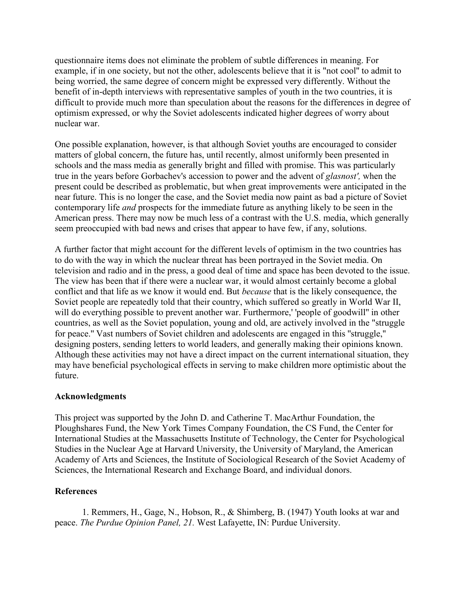questionnaire items does not eliminate the problem of subtle differences in meaning. For example, if in one society, but not the other, adolescents believe that it is "not cool'' to admit to being worried, the same degree of concern might be expressed very differently. Without the benefit of in-depth interviews with representative samples of youth in the two countries, it is difficult to provide much more than speculation about the reasons for the differences in degree of optimism expressed, or why the Soviet adolescents indicated higher degrees of worry about nuclear war.

One possible explanation, however, is that although Soviet youths are encouraged to consider matters of global concern, the future has, until recently, almost uniformly been presented in schools and the mass media as generally bright and filled with promise. This was particularly true in the years before Gorbachev's accession to power and the advent of *glasnost',* when the present could be described as problematic, but when great improvements were anticipated in the near future. This is no longer the case, and the Soviet media now paint as bad a picture of Soviet contemporary life *and* prospects for the immediate future as anything likely to be seen in the American press. There may now be much less of a contrast with the U.S. media, which generally seem preoccupied with bad news and crises that appear to have few, if any, solutions.

A further factor that might account for the different levels of optimism in the two countries has to do with the way in which the nuclear threat has been portrayed in the Soviet media. On television and radio and in the press, a good deal of time and space has been devoted to the issue. The view has been that if there were a nuclear war, it would almost certainly become a global conflict and that life as we know it would end. But *because* that is the likely consequence, the Soviet people are repeatedly told that their country, which suffered so greatly in World War II, will do everything possible to prevent another war. Furthermore,' 'people of goodwill'' in other countries, as well as the Soviet population, young and old, are actively involved in the "struggle for peace.'' Vast numbers of Soviet children and adolescents are engaged in this ''struggle,'' designing posters, sending letters to world leaders, and generally making their opinions known. Although these activities may not have a direct impact on the current international situation, they may have beneficial psychological effects in serving to make children more optimistic about the future.

# **Acknowledgments**

This project was supported by the John D. and Catherine T. MacArthur Foundation, the Ploughshares Fund, the New York Times Company Foundation, the CS Fund, the Center for International Studies at the Massachusetts Institute of Technology, the Center for Psychological Studies in the Nuclear Age at Harvard University, the University of Maryland, the American Academy of Arts and Sciences, the Institute of Sociological Research of the Soviet Academy of Sciences, the International Research and Exchange Board, and individual donors.

## **References**

1. Remmers, H., Gage, N., Hobson, R., & Shimberg, B. (1947) Youth looks at war and peace. *The Purdue Opinion Panel, 21.* West Lafayette, IN: Purdue University.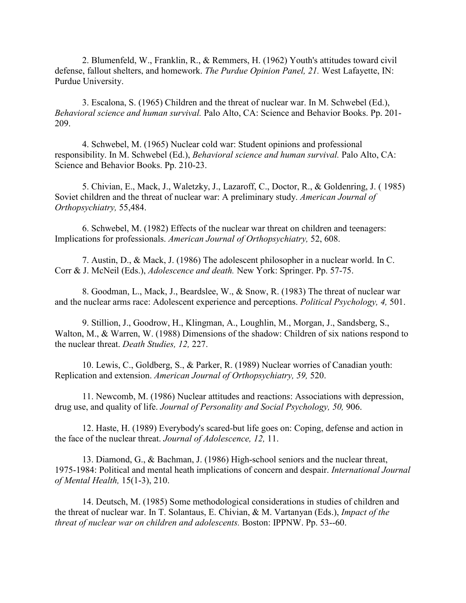2. Blumenfeld, W., Franklin, R., & Remmers, H. (1962) Youth's attitudes toward civil defense, fallout shelters, and homework. *The Purdue Opinion Panel, 21.* West Lafayette, IN: Purdue University.

3. Escalona, S. (1965) Children and the threat of nuclear war. In M. Schwebel (Ed.), *Behavioral science and human survival.* Palo Alto, CA: Science and Behavior Books. Pp. 201- 209.

4. Schwebel, M. (1965) Nuclear cold war: Student opinions and professional responsibility. In M. Schwebel (Ed.), *Behavioral science and human survival.* Palo Alto, CA: Science and Behavior Books. Pp. 210-23.

5. Chivian, E., Mack, J., Waletzky, J., Lazaroff, C., Doctor, R., & Goldenring, J. ( 1985) Soviet children and the threat of nuclear war: A preliminary study. *American Journal of Orthopsychiatry,* 55,484.

6. Schwebel, M. (1982) Effects of the nuclear war threat on children and teenagers: Implications for professionals. *American Journal of Orthopsychiatry,* 52, 608.

7. Austin, D., & Mack, J. (1986) The adolescent philosopher in a nuclear world. In C. Corr & J. McNeil (Eds.), *Adolescence and death.* New York: Springer. Pp. 57-75.

8. Goodman, L., Mack, J., Beardslee, W., & Snow, R. (1983) The threat of nuclear war and the nuclear arms race: Adolescent experience and perceptions. *Political Psychology, 4,* 501.

9. Stillion, J., Goodrow, H., Klingman, A., Loughlin, M., Morgan, J., Sandsberg, S., Walton, M., & Warren, W. (1988) Dimensions of the shadow: Children of six nations respond to the nuclear threat. *Death Studies, 12,* 227.

10. Lewis, C., Goldberg, S., & Parker, R. (1989) Nuclear worries of Canadian youth: Replication and extension. *American Journal of Orthopsychiatry, 59,* 520.

11. Newcomb, M. (1986) Nuclear attitudes and reactions: Associations with depression, drug use, and quality of life. *Journal of Personality and Social Psychology, 50,* 906.

12. Haste, H. (1989) Everybody's scared-but life goes on: Coping, defense and action in the face of the nuclear threat. *Journal of Adolescence, 12,* 11.

13. Diamond, G., & Bachman, J. (1986) High-school seniors and the nuclear threat, 1975-1984: Political and mental heath implications of concern and despair. *International Journal of Mental Health,* 15(1-3), 210.

14. Deutsch, M. (1985) Some methodological considerations in studies of children and the threat of nuclear war. In T. Solantaus, E. Chivian, & M. Vartanyan (Eds.), *Impact of the threat of nuclear war on children and adolescents.* Boston: IPPNW. Pp. 53--60.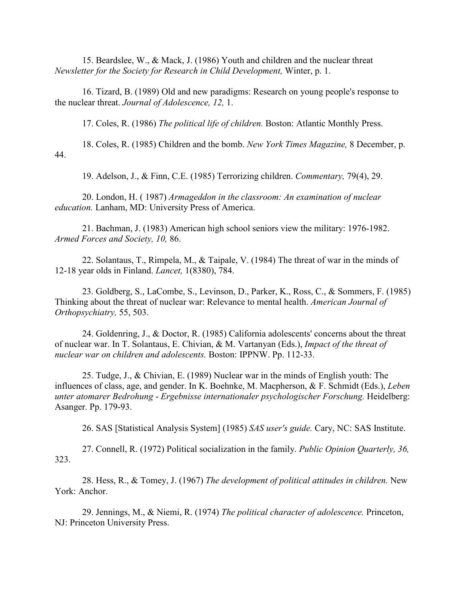15. Beardslee, W., & Mack, J. (1986) Youth and children and the nuclear threat *Newsletter for the Society for Research in Child Development,* Winter, p. 1.

16. Tizard, B. (1989) Old and new paradigms: Research on young people's response to the nuclear threat. *Journal of Adolescence, 12,* 1.

17. Coles, R. (1986) *The political life of children.* Boston: Atlantic Monthly Press.

18. Coles, R. (1985) Children and the bomb. *New York Times Magazine,* 8 December, p. 44.

19. Adelson, J., & Finn, C.E. (1985) Terrorizing children. *Commentary,* 79(4), 29.

20. London, H. ( 1987) *Armageddon in the classroom: An examination of nuclear education.* Lanham, MD: University Press of America.

21. Bachman, J. (1983) American high school seniors view the military: 1976-1982. *Armed Forces and Society, 10,* 86.

22. Solantaus, T., Rimpela, M., & Taipale, V. (1984) The threat of war in the minds of 12-18 year olds in Finland. *Lancet,* 1(8380), 784.

23. Goldberg, S., LaCombe, S., Levinson, D., Parker, K., Ross, C., & Sommers, F. (1985) Thinking about the threat of nuclear war: Relevance to mental health. *American Journal of Orthopsychiatry,* 55, 503.

24. Goldenring, J., & Doctor, R. (1985) California adolescents' concerns about the threat of nuclear war. In T. Solantaus, E. Chivian, & M. Vartanyan (Eds.), *Impact of the threat of nuclear war on children and adolescents.* Boston: IPPNW. Pp. 112-33.

25. Tudge, J., & Chivian, E. (1989) Nuclear war in the minds of English youth: The influences of class, age, and gender. In K. Boehnke, M. Macpherson, & F. Schmidt (Eds.), *Leben unter atomarer Bedrohung* - *Ergebnisse internationaler psychologischer Forschung.* Heidelberg: Asanger. Pp. 179-93.

26. SAS [Statistical Analysis System] (1985) *SAS user's guide.* Cary, NC: SAS Institute.

27. Connell, R. (1972) Political socialization in the family. *Public Opinion Quarterly, 36,*  323.

28. Hess, R., & Tomey, J. (1967) *The development of political attitudes in children.* New York: Anchor.

29. Jennings, M., & Niemi, R. (1974) *The political character of adolescence.* Princeton, NJ: Princeton University Press.